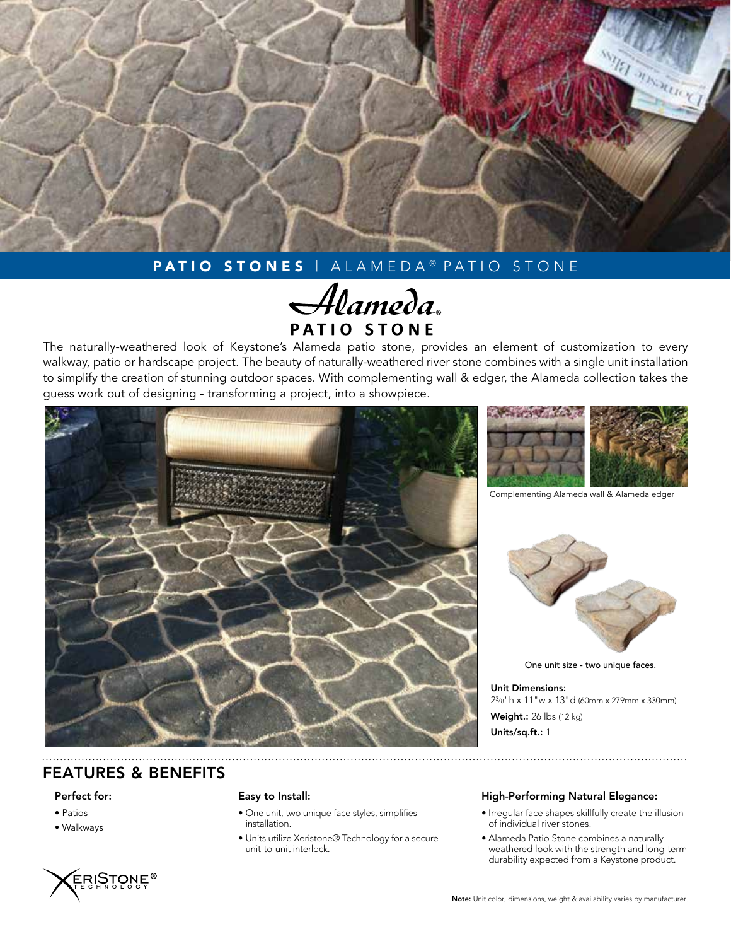

# PATIO STONES | ALAMEDA® PATIO STONE

Alameda PATIO STONE

The naturally-weathered look of Keystone's Alameda patio stone, provides an element of customization to every walkway, patio or hardscape project. The beauty of naturally-weathered river stone combines with a single unit installation to simplify the creation of stunning outdoor spaces. With complementing wall & edger, the Alameda collection takes the guess work out of designing - transforming a project, into a showpiece.





Complementing Alameda wall & Alameda edger



One unit size - two unique faces.

Unit Dimensions: 23/8"h x 11"w x 13"d (60mm x 279mm x 330mm) Weight.: 26 lbs (12 kg) Units/sq.ft.: 1

### FEATURES & BENEFITS

#### Perfect for:

- Patios
- Walkways



#### Easy to Install:

- One unit, two unique face styles, simplifies installation.
- Units utilize Xeristone® Technology for a secure unit-to-unit interlock.

#### High-Performing Natural Elegance:

- Irregular face shapes skillfully create the illusion of individual river stones.
- Alameda Patio Stone combines a naturally weathered look with the strength and long-term durability expected from a Keystone product.